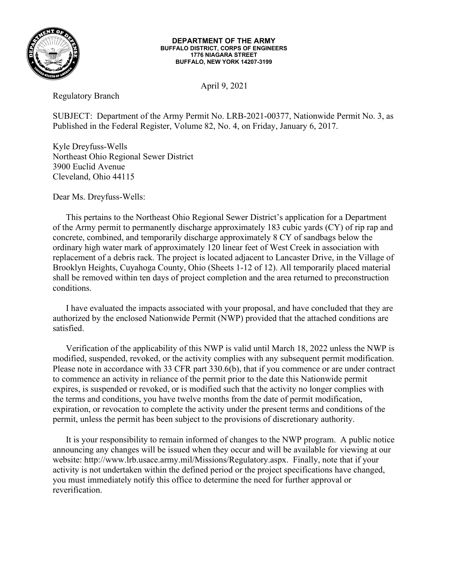

## **DEPARTMENT OF THE ARMY BUFFALO DISTRICT, CORPS OF ENGINEERS 1776 NIAGARA STREET BUFFALO, NEW YORK 14207-3199**

April 9, 2021

Regulatory Branch

SUBJECT: Department of the Army Permit No. LRB-2021-00377, Nationwide Permit No. 3, as Published in the Federal Register, Volume 82, No. 4, on Friday, January 6, 2017.

Kyle Dreyfuss-Wells Northeast Ohio Regional Sewer District 3900 Euclid Avenue Cleveland, Ohio 44115

Dear Ms. Dreyfuss-Wells:

This pertains to the Northeast Ohio Regional Sewer District's application for a Department of the Army permit to permanently discharge approximately 183 cubic yards (CY) of rip rap and concrete, combined, and temporarily discharge approximately 8 CY of sandbags below the ordinary high water mark of approximately 120 linear feet of West Creek in association with replacement of a debris rack. The project is located adjacent to Lancaster Drive, in the Village of Brooklyn Heights, Cuyahoga County, Ohio (Sheets 1-12 of 12). All temporarily placed material shall be removed within ten days of project completion and the area returned to preconstruction conditions.

I have evaluated the impacts associated with your proposal, and have concluded that they are authorized by the enclosed Nationwide Permit (NWP) provided that the attached conditions are satisfied.

Verification of the applicability of this NWP is valid until March 18, 2022 unless the NWP is modified, suspended, revoked, or the activity complies with any subsequent permit modification. Please note in accordance with 33 CFR part 330.6(b), that if you commence or are under contract to commence an activity in reliance of the permit prior to the date this Nationwide permit expires, is suspended or revoked, or is modified such that the activity no longer complies with the terms and conditions, you have twelve months from the date of permit modification, expiration, or revocation to complete the activity under the present terms and conditions of the permit, unless the permit has been subject to the provisions of discretionary authority.

It is your responsibility to remain informed of changes to the NWP program. A public notice announcing any changes will be issued when they occur and will be available for viewing at our website: http://www.lrb.usace.army.mil/Missions/Regulatory.aspx. Finally, note that if your activity is not undertaken within the defined period or the project specifications have changed, you must immediately notify this office to determine the need for further approval or reverification.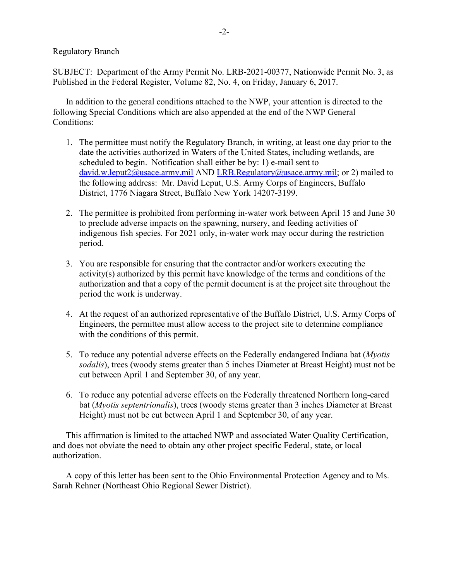Regulatory Branch

SUBJECT: Department of the Army Permit No. LRB-2021-00377, Nationwide Permit No. 3, as Published in the Federal Register, Volume 82, No. 4, on Friday, January 6, 2017.

In addition to the general conditions attached to the NWP, your attention is directed to the following Special Conditions which are also appended at the end of the NWP General Conditions:

- 1. The permittee must notify the Regulatory Branch, in writing, at least one day prior to the date the activities authorized in Waters of the United States, including wetlands, are scheduled to begin. Notification shall either be by: 1) e-mail sent to [david.w.leput2@usace.army.mil](mailto:david.w.leput2@usace.army.mil) AND [LRB.Regulatory@usace.army.mil;](mailto:LRB.Regulatory@usace.army.mil) or 2) mailed to the following address: Mr. David Leput, U.S. Army Corps of Engineers, Buffalo District, 1776 Niagara Street, Buffalo New York 14207-3199.
- 2. The permittee is prohibited from performing in-water work between April 15 and June 30 to preclude adverse impacts on the spawning, nursery, and feeding activities of indigenous fish species. For 2021 only, in-water work may occur during the restriction period.
- 3. You are responsible for ensuring that the contractor and/or workers executing the activity(s) authorized by this permit have knowledge of the terms and conditions of the authorization and that a copy of the permit document is at the project site throughout the period the work is underway.
- 4. At the request of an authorized representative of the Buffalo District, U.S. Army Corps of Engineers, the permittee must allow access to the project site to determine compliance with the conditions of this permit.
- 5. To reduce any potential adverse effects on the Federally endangered Indiana bat (*Myotis sodalis*), trees (woody stems greater than 5 inches Diameter at Breast Height) must not be cut between April 1 and September 30, of any year.
- 6. To reduce any potential adverse effects on the Federally threatened Northern long-eared bat (*Myotis septentrionalis*), trees (woody stems greater than 3 inches Diameter at Breast Height) must not be cut between April 1 and September 30, of any year.

This affirmation is limited to the attached NWP and associated Water Quality Certification, and does not obviate the need to obtain any other project specific Federal, state, or local authorization.

A copy of this letter has been sent to the Ohio Environmental Protection Agency and to Ms. Sarah Rehner (Northeast Ohio Regional Sewer District).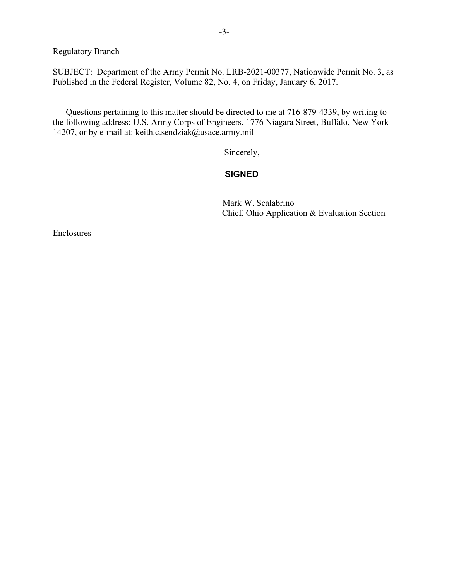Regulatory Branch

SUBJECT: Department of the Army Permit No. LRB-2021-00377, Nationwide Permit No. 3, as Published in the Federal Register, Volume 82, No. 4, on Friday, January 6, 2017.

Questions pertaining to this matter should be directed to me at 716-879-4339, by writing to the following address: U.S. Army Corps of Engineers, 1776 Niagara Street, Buffalo, New York 14207, or by e-mail at: keith.c.sendziak@usace.army.mil

Sincerely,

## **SIGNED**

Mark W. Scalabrino Chief, Ohio Application & Evaluation Section

Enclosures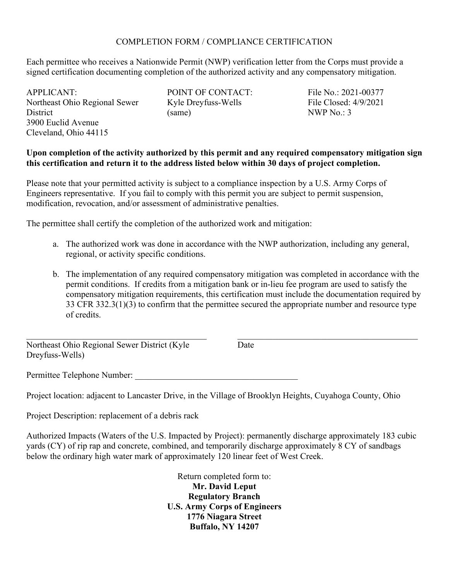## COMPLETION FORM / COMPLIANCE CERTIFICATION

Each permittee who receives a Nationwide Permit (NWP) verification letter from the Corps must provide a signed certification documenting completion of the authorized activity and any compensatory mitigation.

APPLICANT: Northeast Ohio Regional Sewer **District** 3900 Euclid Avenue Cleveland, Ohio 44115

POINT OF CONTACT: Kyle Dreyfuss-Wells (same)

File No.: 2021-00377 File Closed: 4/9/2021 NWP No.: 3

 $\mathcal{L}_\mathcal{L}$  , and the set of the set of the set of the set of the set of the set of the set of the set of the set of the set of the set of the set of the set of the set of the set of the set of the set of the set of th

## **Upon completion of the activity authorized by this permit and any required compensatory mitigation sign this certification and return it to the address listed below within 30 days of project completion.**

Please note that your permitted activity is subject to a compliance inspection by a U.S. Army Corps of Engineers representative. If you fail to comply with this permit you are subject to permit suspension, modification, revocation, and/or assessment of administrative penalties.

The permittee shall certify the completion of the authorized work and mitigation:

- a. The authorized work was done in accordance with the NWP authorization, including any general, regional, or activity specific conditions.
- b. The implementation of any required compensatory mitigation was completed in accordance with the permit conditions. If credits from a mitigation bank or in-lieu fee program are used to satisfy the compensatory mitigation requirements, this certification must include the documentation required by 33 CFR 332.3(1)(3) to confirm that the permittee secured the appropriate number and resource type of credits.

 $\mathcal{L}_\mathcal{L}$  , and the set of the set of the set of the set of the set of the set of the set of the set of the set of the set of the set of the set of the set of the set of the set of the set of the set of the set of th Northeast Ohio Regional Sewer District (Kyle Dreyfuss-Wells)

**Date** 

Permittee Telephone Number:

Project location: adjacent to Lancaster Drive, in the Village of Brooklyn Heights, Cuyahoga County, Ohio

Project Description: replacement of a debris rack

Authorized Impacts (Waters of the U.S. Impacted by Project): permanently discharge approximately 183 cubic yards (CY) of rip rap and concrete, combined, and temporarily discharge approximately 8 CY of sandbags below the ordinary high water mark of approximately 120 linear feet of West Creek.

> Return completed form to: **Mr. David Leput Regulatory Branch U.S. Army Corps of Engineers 1776 Niagara Street Buffalo, NY 14207**